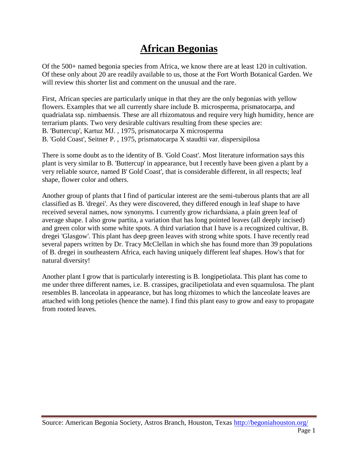## **African Begonias**

Of the 500+ named begonia species from Africa, we know there are at least 120 in cultivation. Of these only about 20 are readily available to us, those at the Fort Worth Botanical Garden. We will review this shorter list and comment on the unusual and the rare.

First, African species are particularly unique in that they are the only begonias with yellow flowers. Examples that we all currently share include B. microsperma, prismatocarpa, and quadrialata ssp. nimbaensis. These are all rhizomatous and require very high humidity, hence are terrarium plants. Two very desirable cultivars resulting from these species are: B. 'Buttercup', Kartuz MJ. , 1975, prismatocarpa X microsperma B. 'Gold Coast', Seitner P. , 1975, prismatocarpa X staudtii var. dispersipilosa

There is some doubt as to the identity of B. 'Gold Coast'. Most literature information says this plant is very similar to B. 'Buttercup' in appearance, but I recently have been given a plant by a very reliable source, named B' Gold Coast', that is considerable different, in all respects; leaf shape, flower color and others.

Another group of plants that I find of particular interest are the semi-tuberous plants that are all classified as B. 'dregei'. As they were discovered, they differed enough in leaf shape to have received several names, now synonyms. I currently grow richardsiana, a plain green leaf of average shape. I also grow partita, a variation that has long pointed leaves (all deeply incised) and green color with some white spots. A third variation that I have is a recognized cultivar, B. dregei 'Glasgow'. This plant has deep green leaves with strong white spots. I have recently read several papers written by Dr. Tracy McClellan in which she has found more than 39 populations of B. dregei in southeastern Africa, each having uniquely different leaf shapes. How's that for natural diversity!

Another plant I grow that is particularly interesting is B. longipetiolata. This plant has come to me under three different names, i.e. B. crassipes, gracilipetiolata and even squamulosa. The plant resembles B. lanceolata in appearance, but has long rhizomes to which the lanceolate leaves are attached with long petioles (hence the name). I find this plant easy to grow and easy to propagate from rooted leaves.